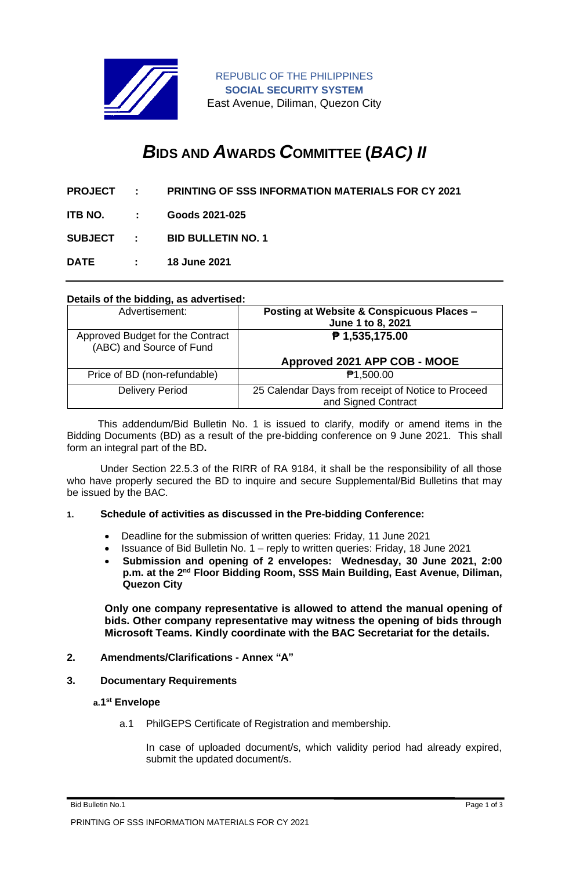

REPUBLIC OF THE PHILIPPINES **SOCIAL SECURITY SYSTEM** East Avenue, Diliman, Quezon City

# *B***IDS AND** *A***WARDS** *C***OMMITTEE (***BAC) II*

- **PROJECT : PRINTING OF SSS INFORMATION MATERIALS FOR CY 2021**
- **ITB NO. : Goods 2021-025**

**SUBJECT : BID BULLETIN NO. 1**

**DATE : 18 June 2021**

#### **Details of the bidding, as advertised:**

| Advertisement:                                               | Posting at Website & Conspicuous Places -<br>June 1 to 8, 2021            |
|--------------------------------------------------------------|---------------------------------------------------------------------------|
| Approved Budget for the Contract<br>(ABC) and Source of Fund | ₱ 1,535,175.00                                                            |
|                                                              | Approved 2021 APP COB - MOOE                                              |
| Price of BD (non-refundable)                                 | ₱1,500.00                                                                 |
| <b>Delivery Period</b>                                       | 25 Calendar Days from receipt of Notice to Proceed<br>and Signed Contract |

 This addendum/Bid Bulletin No. 1 is issued to clarify, modify or amend items in the Bidding Documents (BD) as a result of the pre-bidding conference on 9 June 2021. This shall form an integral part of the BD**.**

Under Section 22.5.3 of the RIRR of RA 9184, it shall be the responsibility of all those who have properly secured the BD to inquire and secure Supplemental/Bid Bulletins that may be issued by the BAC.

### **1. Schedule of activities as discussed in the Pre-bidding Conference:**

- Deadline for the submission of written queries: Friday, 11 June 2021
- Issuance of Bid Bulletin No. 1 reply to written queries: Friday, 18 June 2021
- **Submission and opening of 2 envelopes: Wednesday, 30 June 2021, 2:00**  p.m. at the 2<sup>nd</sup> Floor Bidding Room, SSS Main Building, East Avenue, Diliman, **Quezon City**

**Only one company representative is allowed to attend the manual opening of bids. Other company representative may witness the opening of bids through Microsoft Teams. Kindly coordinate with the BAC Secretariat for the details.**

# **2. Amendments/Clarifications - Annex "A"**

### **3. Documentary Requirements**

#### **a.1 st Envelope**

a.1 PhilGEPS Certificate of Registration and membership.

In case of uploaded document/s, which validity period had already expired, submit the updated document/s.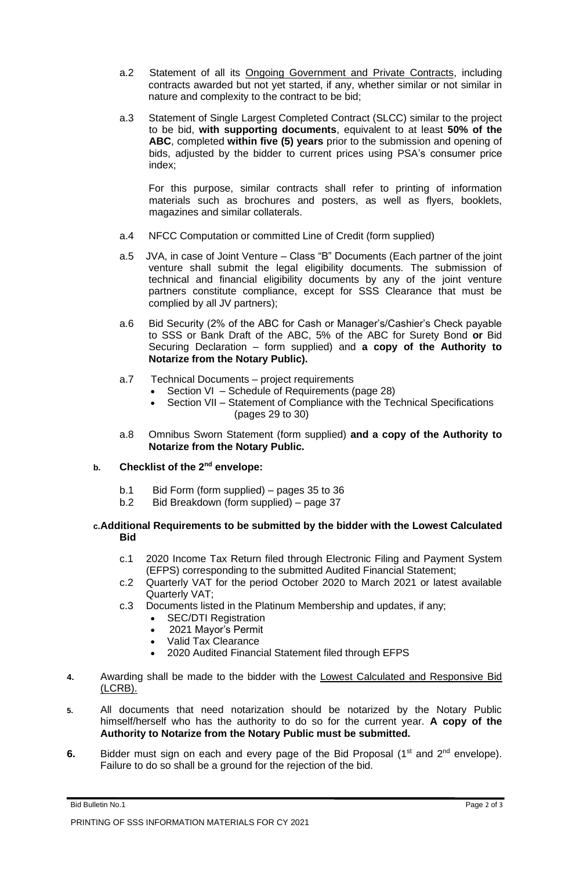- a.2 Statement of all its Ongoing Government and Private Contracts, including contracts awarded but not yet started, if any, whether similar or not similar in nature and complexity to the contract to be bid;
- a.3 Statement of Single Largest Completed Contract (SLCC) similar to the project to be bid, **with supporting documents**, equivalent to at least **50% of the ABC**, completed **within five (5) years** prior to the submission and opening of bids, adjusted by the bidder to current prices using PSA's consumer price index;

For this purpose, similar contracts shall refer to printing of information materials such as brochures and posters, as well as flyers, booklets, magazines and similar collaterals.

- a.4 NFCC Computation or committed Line of Credit (form supplied)
- a.5 JVA, in case of Joint Venture Class "B" Documents (Each partner of the joint venture shall submit the legal eligibility documents. The submission of technical and financial eligibility documents by any of the joint venture partners constitute compliance, except for SSS Clearance that must be complied by all JV partners);
- a.6 Bid Security (2% of the ABC for Cash or Manager's/Cashier's Check payable to SSS or Bank Draft of the ABC, 5% of the ABC for Surety Bond **or** Bid Securing Declaration – form supplied) and **a copy of the Authority to Notarize from the Notary Public).**
- a.7 Technical Documents project requirements
	- Section VI Schedule of Requirements (page 28)
	- Section VII Statement of Compliance with the Technical Specifications (pages 29 to 30)
- a.8 Omnibus Sworn Statement (form supplied) **and a copy of the Authority to Notarize from the Notary Public.**

## **b. Checklist of the 2nd envelope:**

- b.1 Bid Form (form supplied) pages 35 to 36
- b.2 Bid Breakdown (form supplied) page 37

## **c.Additional Requirements to be submitted by the bidder with the Lowest Calculated Bid**

- c.1 2020 Income Tax Return filed through Electronic Filing and Payment System (EFPS) corresponding to the submitted Audited Financial Statement;
- c.2 Quarterly VAT for the period October 2020 to March 2021 or latest available Quarterly VAT;
- c.3 Documents listed in the Platinum Membership and updates, if any;
	- SEC/DTI Registration
	- 2021 Mayor's Permit
	- Valid Tax Clearance
	- 2020 Audited Financial Statement filed through EFPS
- **4.** Awarding shall be made to the bidder with the Lowest Calculated and Responsive Bid (LCRB).
- **5.** All documents that need notarization should be notarized by the Notary Public himself/herself who has the authority to do so for the current year. **A copy of the Authority to Notarize from the Notary Public must be submitted.**
- **6.** Bidder must sign on each and every page of the Bid Proposal (1<sup>st</sup> and 2<sup>nd</sup> envelope). Failure to do so shall be a ground for the rejection of the bid.

Bid Bulletin No.1 Page 2 of 3